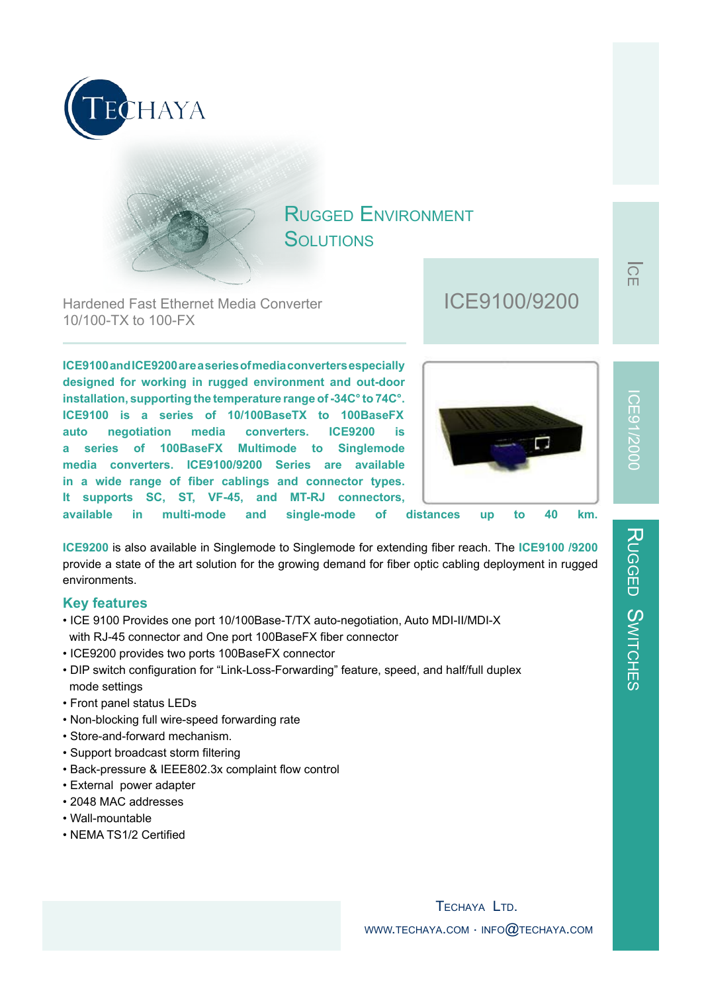



## RUGGED ENVIRONMENT SOLUTIONS

Hardened Fast Ethernet Media Converter 10/100-TX to 100-FX

**ICE9100 and ICE9200 are a series of media converters especially designed for working in rugged environment and out-door installation, supporting the temperature range of -34C° to 74C°. ICE9100 is a series of 10/100BaseTX to 100BaseFX auto negotiation media converters. ICE9200 is a series of 100BaseFX Multimode to Singlemode media converters. ICE9100/9200 Series are available in a wide range of fiber cablings and connector types. It supports SC, ST, VF-45, and MT-RJ connectors,** 

# ICE9100/9200



**available in multi-mode and single-mode of distances up to 40 km.**

**ICE9200** is also available in Singlemode to Singlemode for extending fiber reach. The **ICE9100 /9200**  provide a state of the art solution for the growing demand for fiber optic cabling deployment in rugged environments.

#### **Key features**

- ICE 9100 Provides one port 10/100Base-T/TX auto-negotiation, Auto MDI-II/MDI-X with RJ-45 connector and One port 100BaseFX fiber connector
- ICE9200 provides two ports 100BaseFX connector
- DIP switch configuration for "Link-Loss-Forwarding" feature, speed, and half/full duplex mode settings
- Front panel status LEDs
- Non-blocking full wire-speed forwarding rate
- Store-and-forward mechanism.
- Support broadcast storm filtering
- Back-pressure & IEEE802.3x complaint flow control
- External power adapter
- 2048 MAC addresses
- Wall-mountable
- NEMA TS1/2 Certified

 $\overline{\Omega}$